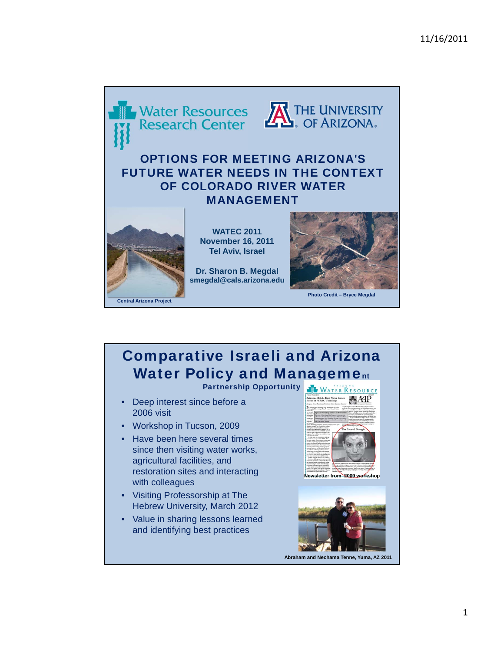

## Comparative Israeli and Arizona Water Policy and Management

Partnership Opportunity WATER RESOURCE

- Deep interest since before a 2006 visit
- Workshop in Tucson, 2009
- Have been here several times since then visiting water works, agricultural facilities, and restoration sites and interacting with colleagues
- Visiting Professorship at The Hebrew University, March 2012
- Value in sharing lessons learned and identifying best practices





**Abraham and Nechama Tenne, Yuma, AZ 2011**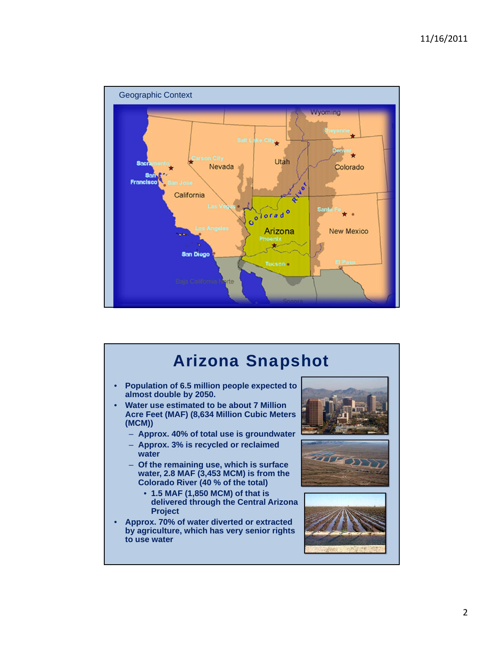

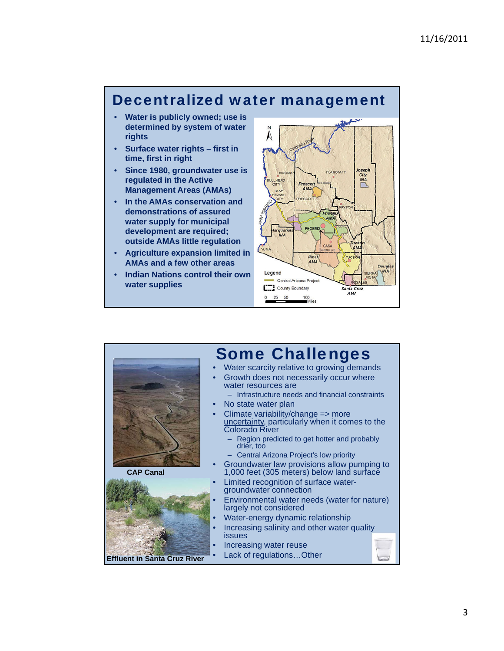## Decentralized water management

- **Water is publicly owned; use is determined by system of water rights**
- **Surface water rights first in time, first in right**
- **Since 1980, groundwater use is regulated in the Active Management Areas (AMAs)**
- **In the AMAs conservation and demonstrations of assured water supply for municipal development are required; outside AMAs little regulation**
- **Agriculture expansion limited in AMAs and a few other areas**
- **Indian Nations control their own water supplies**



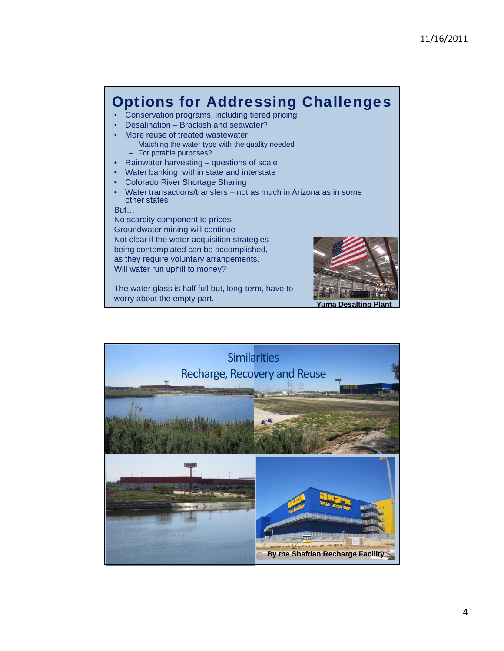## Options for Addressing Challenges

- Conservation programs, including tiered pricing
- Desalination Brackish and seawater?
- More reuse of treated wastewater
	- Matching the water type with the quality needed – For potable purposes?
- Rainwater harvesting questions of scale
- Water banking, within state and interstate
- Colorado River Shortage Sharing
- Water transactions/transfers not as much in Arizona as in some other states

But…

No scarcity component to prices Groundwater mining will continue Not clear if the water acquisition strategies being contemplated can be accomplished, as they require voluntary arrangements. Will water run uphill to money?

The water glass is half full but, long-term, have to worry about the empty part. **Yuma Desalting Plant**